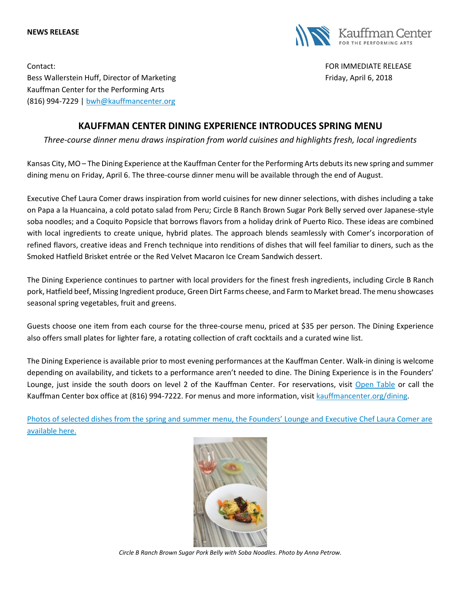#### **NEWS RELEASE**



Contact: FOR IMMEDIATE RELEASE Bess Wallerstein Huff, Director of Marketing Friday, April 6, 2018 Kauffman Center for the Performing Arts (816) 994-7229 | [bwh@kauffmancenter.org](mailto:bwh@kauffmancenter.org)

# **KAUFFMAN CENTER DINING EXPERIENCE INTRODUCES SPRING MENU**

*Three-course dinner menu draws inspiration from world cuisines and highlights fresh, local ingredients* 

Kansas City, MO – The Dining Experience at the Kauffman Center for the Performing Arts debuts its new spring and summer dining menu on Friday, April 6. The three-course dinner menu will be available through the end of August.

Executive Chef Laura Comer draws inspiration from world cuisines for new dinner selections, with dishes including a take on Papa a la Huancaina, a cold potato salad from Peru; Circle B Ranch Brown Sugar Pork Belly served over Japanese-style soba noodles; and a Coquito Popsicle that borrows flavors from a holiday drink of Puerto Rico. These ideas are combined with local ingredients to create unique, hybrid plates. The approach blends seamlessly with Comer's incorporation of refined flavors, creative ideas and French technique into renditions of dishes that will feel familiar to diners, such as the Smoked Hatfield Brisket entrée or the Red Velvet Macaron Ice Cream Sandwich dessert.

The Dining Experience continues to partner with local providers for the finest fresh ingredients, including Circle B Ranch pork, Hatfield beef, Missing Ingredient produce, Green Dirt Farms cheese, and Farm to Market bread. The menu showcases seasonal spring vegetables, fruit and greens.

Guests choose one item from each course for the three-course menu, priced at \$35 per person. The Dining Experience also offers small plates for lighter fare, a rotating collection of craft cocktails and a curated wine list.

The Dining Experience is available prior to most evening performances at the Kauffman Center. Walk-in dining is welcome depending on availability, and tickets to a performance aren't needed to dine. The Dining Experience is in the Founders' Lounge, just inside the south doors on level 2 of the Kauffman Center. For reservations, visit [Open](https://www.opentable.com/kauffman-center-dining-experience) Table or call the Kauffman Center box office at (816) 994-7222. For menus and more information, visit [kauffmancenter.org/dining.](https://www.kauffmancenter.org/the-center/dining/)

Photos of selected dishes from the spring and summer menu[, the Founders' Lounge and Executive Chef Laura Comer are](https://www.flickr.com/photos/kauffmancenter/albums/72157688127131514) [available here.](https://www.flickr.com/photos/kauffmancenter/albums/72157688127131514)



*Circle B Ranch Brown Sugar Pork Belly with Soba Noodles. Photo by Anna Petrow.*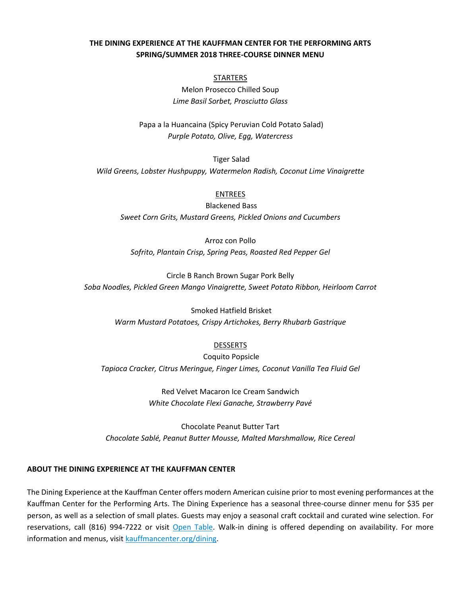## **THE DINING EXPERIENCE AT THE KAUFFMAN CENTER FOR THE PERFORMING ARTS SPRING/SUMMER 2018 THREE-COURSE DINNER MENU**

### **STARTERS**

Melon Prosecco Chilled Soup *Lime Basil Sorbet, Prosciutto Glass*

Papa a la Huancaina (Spicy Peruvian Cold Potato Salad) *Purple Potato, Olive, Egg, Watercress*

Tiger Salad *Wild Greens, Lobster Hushpuppy, Watermelon Radish, Coconut Lime Vinaigrette*

#### ENTREES

Blackened Bass *Sweet Corn Grits, Mustard Greens, Pickled Onions and Cucumbers*

Arroz con Pollo *Sofrito, Plantain Crisp, Spring Peas, Roasted Red Pepper Gel*

Circle B Ranch Brown Sugar Pork Belly *Soba Noodles, Pickled Green Mango Vinaigrette, Sweet Potato Ribbon, Heirloom Carrot*

> Smoked Hatfield Brisket *Warm Mustard Potatoes, Crispy Artichokes, Berry Rhubarb Gastrique*

## DESSERTS

Coquito Popsicle *Tapioca Cracker, Citrus Meringue, Finger Limes, Coconut Vanilla Tea Fluid Gel*

> Red Velvet Macaron Ice Cream Sandwich *White Chocolate Flexi Ganache, Strawberry Pavé*

Chocolate Peanut Butter Tart *Chocolate Sablé, Peanut Butter Mousse, Malted Marshmallow, Rice Cereal*

## **ABOUT THE DINING EXPERIENCE AT THE KAUFFMAN CENTER**

The Dining Experience at the Kauffman Center offers modern American cuisine prior to most evening performances at the Kauffman Center for the Performing Arts. The Dining Experience has a seasonal three-course dinner menu for \$35 per person, as well as a selection of small plates. Guests may enjoy a seasonal craft cocktail and curated wine selection. For reservations, call (816) 994-7222 or visit [Open Table.](https://www.opentable.com/kauffman-center-dining-experience) Walk-in dining is offered depending on availability. For more information and menus, visit [kauffmancenter.org/dining.](https://www.kauffmancenter.org/the-center/dining/)